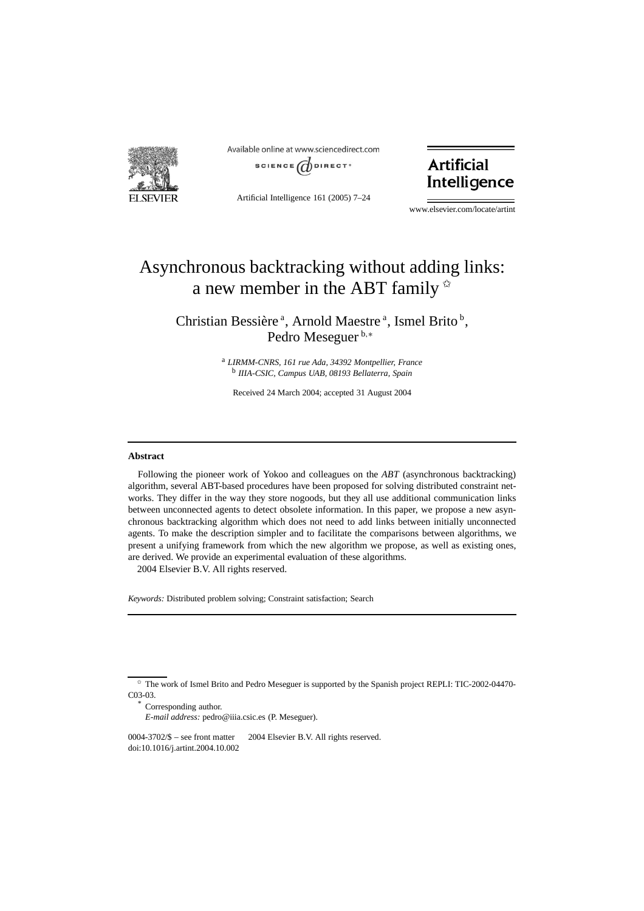

Available online at www.sciencedirect.com



Artificial Intelligence 161 (2005) 7–24



www.elsevier.com/locate/artint

# Asynchronous backtracking without adding links: a new member in the ABT family  $\dot{\mathbf{x}}$

Christian Bessière<sup>a</sup>, Arnold Maestre<sup>a</sup>, Ismel Brito<sup>b</sup>, Pedro Meseguer <sup>b</sup>*,*<sup>∗</sup>

> <sup>a</sup> *LIRMM-CNRS, 161 rue Ada, 34392 Montpellier, France* <sup>b</sup> *IIIA-CSIC, Campus UAB, 08193 Bellaterra, Spain*

Received 24 March 2004; accepted 31 August 2004

#### **Abstract**

Following the pioneer work of Yokoo and colleagues on the *ABT* (asynchronous backtracking) algorithm, several ABT-based procedures have been proposed for solving distributed constraint networks. They differ in the way they store nogoods, but they all use additional communication links between unconnected agents to detect obsolete information. In this paper, we propose a new asynchronous backtracking algorithm which does not need to add links between initially unconnected agents. To make the description simpler and to facilitate the comparisons between algorithms, we present a unifying framework from which the new algorithm we propose, as well as existing ones, are derived. We provide an experimental evaluation of these algorithms. 2004 Elsevier B.V. All rights reserved.

*Keywords:* Distributed problem solving; Constraint satisfaction; Search

 $*$  The work of Ismel Brito and Pedro Meseguer is supported by the Spanish project REPLI: TIC-2002-04470-C03-03.

Corresponding author.

*E-mail address:* pedro@iiia.csic.es (P. Meseguer).

<sup>0004-3702/\$ –</sup> see front matter © 2004 Elsevier B.V. All rights reserved. doi:10.1016/j.artint.2004.10.002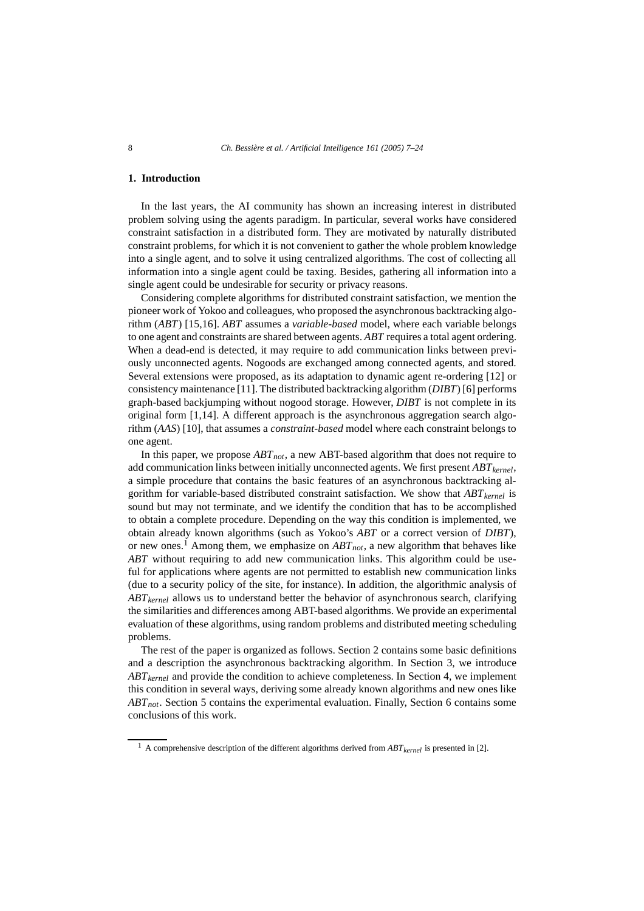# **1. Introduction**

In the last years, the AI community has shown an increasing interest in distributed problem solving using the agents paradigm. In particular, several works have considered constraint satisfaction in a distributed form. They are motivated by naturally distributed constraint problems, for which it is not convenient to gather the whole problem knowledge into a single agent, and to solve it using centralized algorithms. The cost of collecting all information into a single agent could be taxing. Besides, gathering all information into a single agent could be undesirable for security or privacy reasons.

Considering complete algorithms for distributed constraint satisfaction, we mention the pioneer work of Yokoo and colleagues, who proposed the asynchronous backtracking algorithm (*ABT*) [15,16]. *ABT* assumes a *variable-based* model, where each variable belongs to one agent and constraints are shared between agents. *ABT* requires a total agent ordering. When a dead-end is detected, it may require to add communication links between previously unconnected agents. Nogoods are exchanged among connected agents, and stored. Several extensions were proposed, as its adaptation to dynamic agent re-ordering [12] or consistency maintenance [11]. The distributed backtracking algorithm (*DIBT*) [6] performs graph-based backjumping without nogood storage. However, *DIBT* is not complete in its original form [1,14]. A different approach is the asynchronous aggregation search algorithm (*AAS*) [10], that assumes a *constraint-based* model where each constraint belongs to one agent.

In this paper, we propose  $ABT_{not}$ , a new ABT-based algorithm that does not require to add communication links between initially unconnected agents. We first present  $ABT_{kernel}$ , a simple procedure that contains the basic features of an asynchronous backtracking algorithm for variable-based distributed constraint satisfaction. We show that *ABT<sub>kernel</sub>* is sound but may not terminate, and we identify the condition that has to be accomplished to obtain a complete procedure. Depending on the way this condition is implemented, we obtain already known algorithms (such as Yokoo's *ABT* or a correct version of *DIBT*), or new ones.<sup>1</sup> Among them, we emphasize on  $ABT_{not}$ , a new algorithm that behaves like *ABT* without requiring to add new communication links. This algorithm could be useful for applications where agents are not permitted to establish new communication links (due to a security policy of the site, for instance). In addition, the algorithmic analysis of ABT<sub>kernel</sub> allows us to understand better the behavior of asynchronous search, clarifying the similarities and differences among ABT-based algorithms. We provide an experimental evaluation of these algorithms, using random problems and distributed meeting scheduling problems.

The rest of the paper is organized as follows. Section 2 contains some basic definitions and a description the asynchronous backtracking algorithm. In Section 3, we introduce *ABT<sub>kernel</sub>* and provide the condition to achieve completeness. In Section 4, we implement this condition in several ways, deriving some already known algorithms and new ones like *ABTnot*. Section 5 contains the experimental evaluation. Finally, Section 6 contains some conclusions of this work.

<sup>&</sup>lt;sup>1</sup> A comprehensive description of the different algorithms derived from  $ABT_{kemel}$  is presented in [2].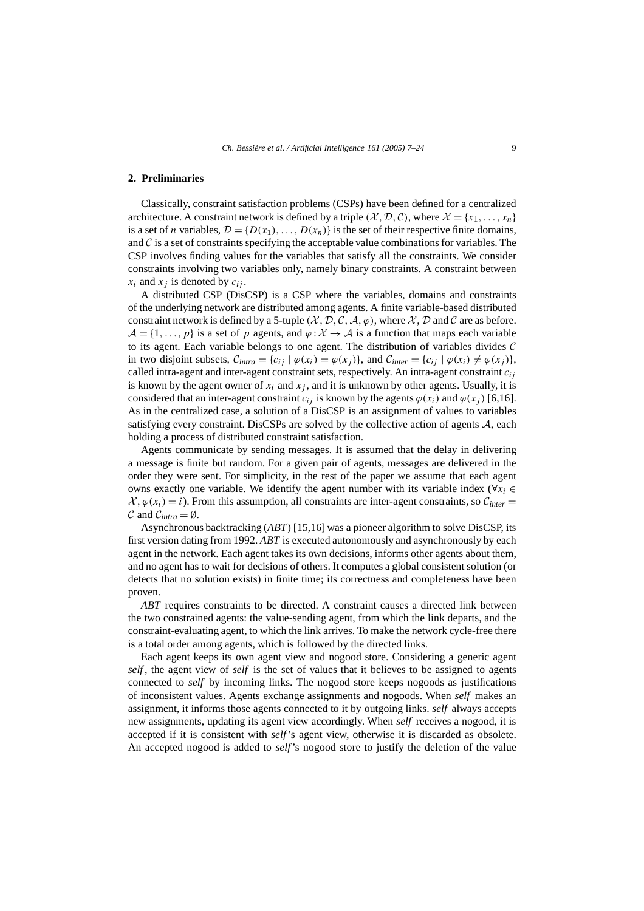## **2. Preliminaries**

Classically, constraint satisfaction problems (CSPs) have been defined for a centralized architecture. A constraint network is defined by a triple  $(X, \mathcal{D}, \mathcal{C})$ , where  $\mathcal{X} = \{x_1, \ldots, x_n\}$ is a set of *n* variables,  $\mathcal{D} = \{D(x_1), \ldots, D(x_n)\}\$ is the set of their respective finite domains, and  $\mathcal C$  is a set of constraints specifying the acceptable value combinations for variables. The CSP involves finding values for the variables that satisfy all the constraints. We consider constraints involving two variables only, namely binary constraints. A constraint between  $x_i$  and  $x_j$  is denoted by  $c_{ij}$ .

A distributed CSP (DisCSP) is a CSP where the variables, domains and constraints of the underlying network are distributed among agents. A finite variable-based distributed constraint network is defined by a 5-tuple  $(X, D, C, A, \varphi)$ , where X, D and C are as before.  $\mathcal{A} = \{1, \ldots, p\}$  is a set of p agents, and  $\varphi : \mathcal{X} \to \mathcal{A}$  is a function that maps each variable to its agent. Each variable belongs to one agent. The distribution of variables divides  $\mathcal C$ in two disjoint subsets,  $C_{intra} = \{c_{ij} | \varphi(x_i) = \varphi(x_i)\}$ , and  $C_{inter} = \{c_{ij} | \varphi(x_i) \neq \varphi(x_i)\}$ , called intra-agent and inter-agent constraint sets, respectively. An intra-agent constraint *cij* is known by the agent owner of  $x_i$  and  $x_j$ , and it is unknown by other agents. Usually, it is considered that an inter-agent constraint  $c_{ij}$  is known by the agents  $\varphi(x_i)$  and  $\varphi(x_j)$  [6,16]. As in the centralized case, a solution of a DisCSP is an assignment of values to variables satisfying every constraint. DisCSPs are solved by the collective action of agents A, each holding a process of distributed constraint satisfaction.

Agents communicate by sending messages. It is assumed that the delay in delivering a message is finite but random. For a given pair of agents, messages are delivered in the order they were sent. For simplicity, in the rest of the paper we assume that each agent owns exactly one variable. We identify the agent number with its variable index ( $\forall x_i \in$  $X, \varphi(x_i) = i$ ). From this assumption, all constraints are inter-agent constraints, so  $\mathcal{C}_{inter}$  $C$  and  $C_{intra} = \emptyset$ .

Asynchronous backtracking (*ABT*) [15,16] was a pioneer algorithm to solve DisCSP, its first version dating from 1992. *ABT* is executed autonomously and asynchronously by each agent in the network. Each agent takes its own decisions, informs other agents about them, and no agent has to wait for decisions of others. It computes a global consistent solution (or detects that no solution exists) in finite time; its correctness and completeness have been proven.

*ABT* requires constraints to be directed. A constraint causes a directed link between the two constrained agents: the value-sending agent, from which the link departs, and the constraint-evaluating agent, to which the link arrives. To make the network cycle-free there is a total order among agents, which is followed by the directed links.

Each agent keeps its own agent view and nogood store. Considering a generic agent *self* , the agent view of *self* is the set of values that it believes to be assigned to agents connected to *self* by incoming links. The nogood store keeps nogoods as justifications of inconsistent values. Agents exchange assignments and nogoods. When *self* makes an assignment, it informs those agents connected to it by outgoing links. *self* always accepts new assignments, updating its agent view accordingly. When *self* receives a nogood, it is accepted if it is consistent with *self* 's agent view, otherwise it is discarded as obsolete. An accepted nogood is added to *self*'s nogood store to justify the deletion of the value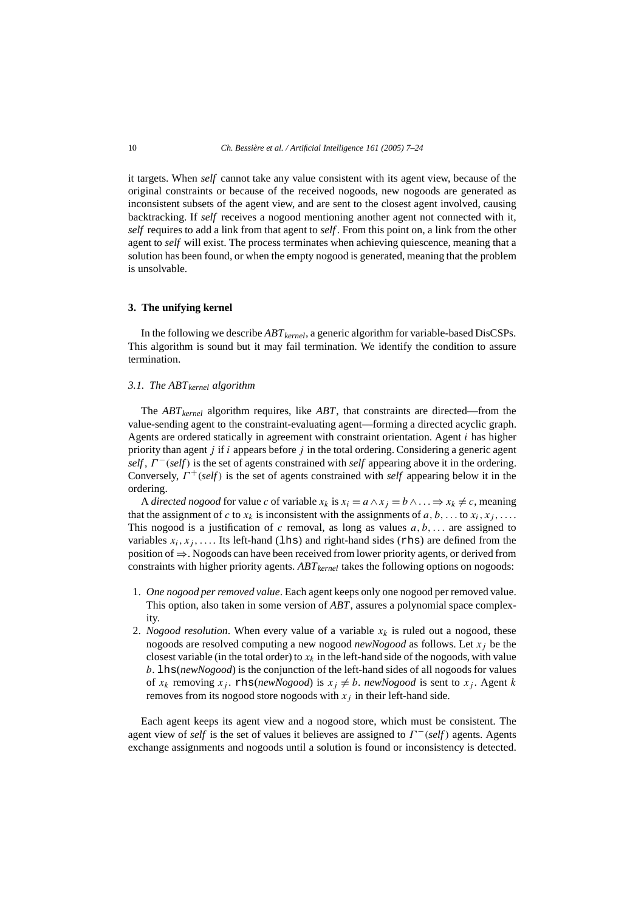it targets. When *self* cannot take any value consistent with its agent view, because of the original constraints or because of the received nogoods, new nogoods are generated as inconsistent subsets of the agent view, and are sent to the closest agent involved, causing backtracking. If *self* receives a nogood mentioning another agent not connected with it, *self* requires to add a link from that agent to *self* . From this point on, a link from the other agent to *self* will exist. The process terminates when achieving quiescence, meaning that a solution has been found, or when the empty nogood is generated, meaning that the problem is unsolvable.

# **3. The unifying kernel**

In the following we describe *ABT*<sub>kernel</sub>, a generic algorithm for variable-based DisCSPs. This algorithm is sound but it may fail termination. We identify the condition to assure termination.

# *3.1. The ABTkernel algorithm*

The *ABT<sub>kernel</sub>* algorithm requires, like *ABT*, that constraints are directed—from the value-sending agent to the constraint-evaluating agent—forming a directed acyclic graph. Agents are ordered statically in agreement with constraint orientation. Agent *i* has higher priority than agent *j* if *i* appears before *j* in the total ordering. Considering a generic agent *self* , *Γ* <sup>−</sup>*(self)* is the set of agents constrained with *self* appearing above it in the ordering. Conversely, *Γ* <sup>+</sup>*(self)* is the set of agents constrained with *self* appearing below it in the ordering.

A *directed nogood* for value *c* of variable  $x_k$  is  $x_i = a \land x_j = b \land ... \Rightarrow x_k \neq c$ , meaning that the assignment of *c* to  $x_k$  is inconsistent with the assignments of *a*, *b*,... to  $x_i$ ,  $x_j$ ,... This nogood is a justification of  $c$  removal, as long as values  $a, b, \ldots$  are assigned to variables  $x_i, x_j, \ldots$  Its left-hand (lhs) and right-hand sides (rhs) are defined from the position of ⇒. Nogoods can have been received from lower priority agents, or derived from constraints with higher priority agents.  $ABT_{\text{kernel}}$  takes the following options on nogoods:

- 1. *One nogood per removed value*. Each agent keeps only one nogood per removed value. This option, also taken in some version of *ABT*, assures a polynomial space complexity.
- 2. *Nogood resolution*. When every value of a variable  $x_k$  is ruled out a nogood, these nogoods are resolved computing a new nogood *newNogood* as follows. Let *xj* be the closest variable (in the total order) to  $x_k$  in the left-hand side of the nogoods, with value *b*. lhs(*newNogood*) is the conjunction of the left-hand sides of all nogoods for values of  $x_k$  removing  $x_j$ . rhs(*newNogood*) is  $x_j \neq b$ . *newNogood* is sent to  $x_j$ . Agent *k* removes from its nogood store nogoods with  $x_j$  in their left-hand side.

Each agent keeps its agent view and a nogood store, which must be consistent. The agent view of *self* is the set of values it believes are assigned to *Γ* <sup>−</sup>*(self)* agents. Agents exchange assignments and nogoods until a solution is found or inconsistency is detected.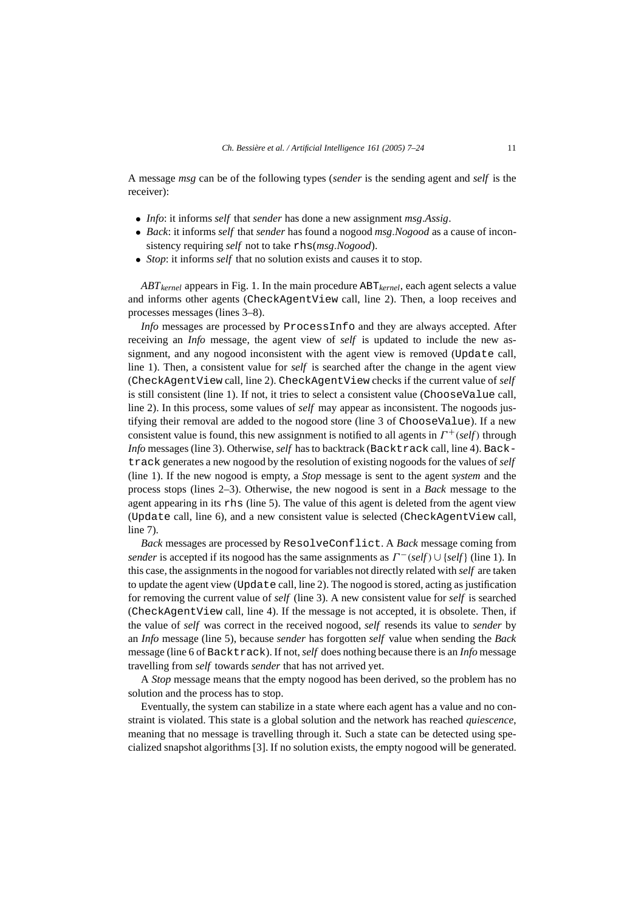A message *msg* can be of the following types (*sender* is the sending agent and *self* is the receiver):

- *Info*: it informs *self* that *sender* has done a new assignment *msg.Assig*.
- *Back*: it informs *self* that *sender* has found a nogood *msg.Nogood* as a cause of inconsistency requiring *self* not to take rhs(*msg.Nogood*).
- *Stop*: it informs *self* that no solution exists and causes it to stop.

*ABTkernel* appears in Fig. 1. In the main procedure ABT*kernel*, each agent selects a value and informs other agents (CheckAgentView call, line 2). Then, a loop receives and processes messages (lines 3–8).

*Info* messages are processed by ProcessInfo and they are always accepted. After receiving an *Info* message, the agent view of *self* is updated to include the new assignment, and any nogood inconsistent with the agent view is removed (Update call, line 1). Then, a consistent value for *self* is searched after the change in the agent view (CheckAgentView call, line 2). CheckAgentView checks if the current value of *self* is still consistent (line 1). If not, it tries to select a consistent value (ChooseValue call, line 2). In this process, some values of *self* may appear as inconsistent. The nogoods justifying their removal are added to the nogood store (line 3 of ChooseValue). If a new consistent value is found, this new assignment is notified to all agents in  $\Gamma^+$ (*self*) through *Info* messages (line 3). Otherwise, *self* has to backtrack (Backtrack call, line 4). Backtrack generates a new nogood by the resolution of existing nogoods for the values of *self* (line 1). If the new nogood is empty, a *Stop* message is sent to the agent *system* and the process stops (lines 2–3). Otherwise, the new nogood is sent in a *Back* message to the agent appearing in its rhs (line 5). The value of this agent is deleted from the agent view (Update call, line 6), and a new consistent value is selected (CheckAgentView call, line 7).

*Back* messages are processed by ResolveConflict. A *Back* message coming from *sender* is accepted if its nogood has the same assignments as  $\Gamma^{-}(self) \cup \{self\}$  (line 1). In this case, the assignments in the nogood for variables not directly related with *self* are taken to update the agent view (Update call, line 2). The nogood is stored, acting as justification for removing the current value of *self* (line 3). A new consistent value for *self* is searched (CheckAgentView call, line 4). If the message is not accepted, it is obsolete. Then, if the value of *self* was correct in the received nogood, *self* resends its value to *sender* by an *Info* message (line 5), because *sender* has forgotten *self* value when sending the *Back* message (line 6 of Backtrack). If not, *self* does nothing because there is an *Info* message travelling from *self* towards *sender* that has not arrived yet.

A *Stop* message means that the empty nogood has been derived, so the problem has no solution and the process has to stop.

Eventually, the system can stabilize in a state where each agent has a value and no constraint is violated. This state is a global solution and the network has reached *quiescence*, meaning that no message is travelling through it. Such a state can be detected using specialized snapshot algorithms [3]. If no solution exists, the empty nogood will be generated.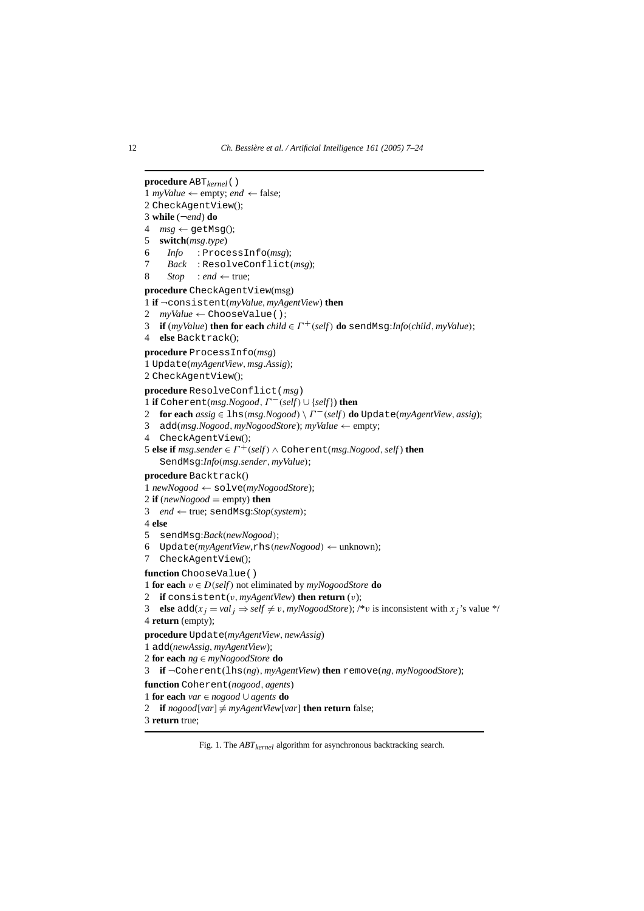```
procedure ABTkernel()
```

```
1 myValue \leftarrow empty; end \leftarrow false;
```

```
2 CheckAgentView();
```
**while** (¬*end*) **do**

```
4 msg \leftarrow \text{getMsg}();
```

```
5 switch(msg.type)
```
*Info* : ProcessInfo(*msg*);

- *Back* : ResolveConflict(*msg*);
- 8 *Stop* : *end*  $\leftarrow$  true;

## **procedure** CheckAgentView(msg)

**if** ¬consistent(*myValue,myAgentView*) **then**

- 2  $myValue \leftarrow \text{ChooseValue}$ ();
- 3 **if**  $(myValue)$  **then for each**  $child \in \Gamma^+(self)$  **do** sendMsg:*Info* $(child, myValue)$ ;
- **else** Backtrack();

## **procedure** ProcessInfo(*msg*)

Update(*myAgentView,msg.Assig*);

CheckAgentView();

## **procedure** ResolveConflict(*msg*)

**if** Coherent(*msg.Nogood, Γ* <sup>−</sup>*(self)* ∪ {*self*}) **then**

- **for each** *assig* ∈ lhs*(msg.Nogood)* \ *Γ* <sup>−</sup>*(self)* **do** Update(*myAgentView, assig*);
- add(*msg.Nogood,myNogoodStore*); *myValue* ← empty;
- CheckAgentView();
- 5 **else if**  $msg$ *.sender*  $\in \Gamma^+(self) \land \text{Coherent}(msg\textit{.}Nogood, self)$  then SendMsg:*Info(msg.sender,myValue)*;

#### **procedure** Backtrack()

*newNogood* ← solve(*myNogoodStore*);

**if** (*newNogood* = empty) **then** 

*end* ← true; sendMsg:*Stop(system)*;

**else**

- sendMsg:*Back(newNogood)*;
- Update(*myAgentView*,rhs*(newNogood)* ← unknown);
- CheckAgentView();

**function** ChooseValue()

1 **for each**  $v \in D(\text{self})$  not eliminated by  $\text{myNogoodStore}$  **do** 

**if** consistent(*v,myAgentView*) **then return** (*v*);

3 **else**  $\text{add}(x_i = val_i \Rightarrow \text{self} \neq v, \text{myNogoodStore})$ ; /\*v is inconsistent with  $x_i$ 's value \*/ **return** (empty);

**procedure** Update(*myAgentView, newAssig*)

```
1 add(newAssig,myAgentView);
```

```
2 for each ng ∈ myNogoodStore do
```
**if** ¬Coherent(lhs*(ng),myAgentView*) **then** remove(*ng,myNogoodStore*);

**function** Coherent(*nogood, agents*)

**for each** *var* ∈ *nogood* ∪ *agents* **do**

2 **if**  $nogood[var] \neq myAgentView[var]$  **then return** false;

```
3 return true;
```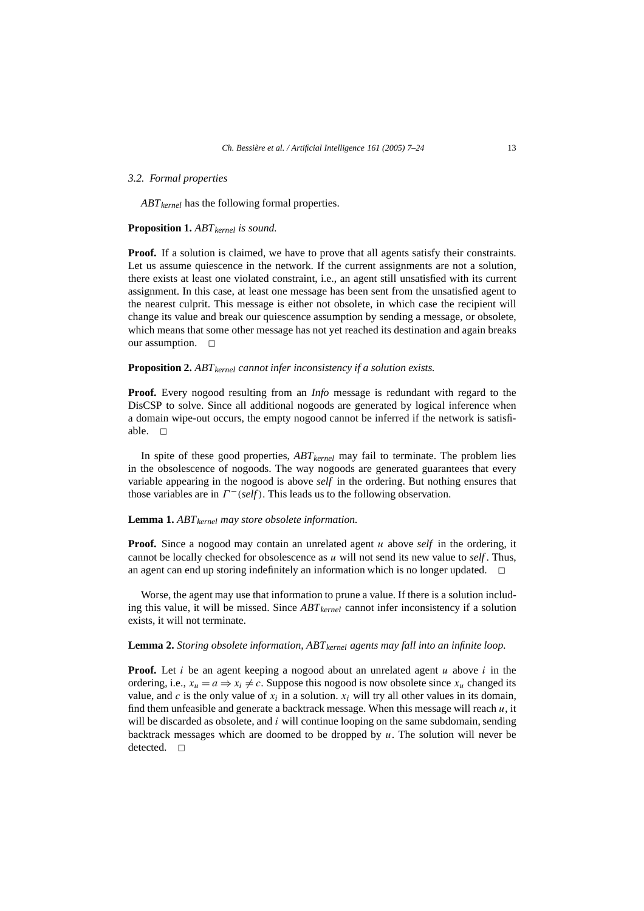#### *3.2. Formal properties*

*ABTkernel* has the following formal properties.

#### **Proposition 1.** *ABTkernel is sound.*

**Proof.** If a solution is claimed, we have to prove that all agents satisfy their constraints. Let us assume quiescence in the network. If the current assignments are not a solution, there exists at least one violated constraint, i.e., an agent still unsatisfied with its current assignment. In this case, at least one message has been sent from the unsatisfied agent to the nearest culprit. This message is either not obsolete, in which case the recipient will change its value and break our quiescence assumption by sending a message, or obsolete, which means that some other message has not yet reached its destination and again breaks our assumption.  $\square$ 

#### **Proposition 2.** *ABT*<sub>kernel</sub> *cannot infer inconsistency if a solution exists.*

**Proof.** Every nogood resulting from an *Info* message is redundant with regard to the DisCSP to solve. Since all additional nogoods are generated by logical inference when a domain wipe-out occurs, the empty nogood cannot be inferred if the network is satisfiable $\Box$ 

In spite of these good properties,  $ABT_{kernel}$  may fail to terminate. The problem lies in the obsolescence of nogoods. The way nogoods are generated guarantees that every variable appearing in the nogood is above *self* in the ordering. But nothing ensures that those variables are in *Γ* <sup>−</sup>*(self)*. This leads us to the following observation.

#### Lemma 1. *ABT*<sub>kernel</sub> may store obsolete information.

**Proof.** Since a nogood may contain an unrelated agent *u* above *self* in the ordering, it cannot be locally checked for obsolescence as *u* will not send its new value to *self* . Thus, an agent can end up storing indefinitely an information which is no longer updated.  $\Box$ 

Worse, the agent may use that information to prune a value. If there is a solution including this value, it will be missed. Since  $ABT_{\text{kernel}}$  cannot infer inconsistency if a solution exists, it will not terminate.

# **Lemma 2.** *Storing obsolete information, ABT<sub>kernel</sub> agents may fall into an infinite loop.*

**Proof.** Let *i* be an agent keeping a nogood about an unrelated agent *u* above *i* in the ordering, i.e.,  $x_u = a \Rightarrow x_i \neq c$ . Suppose this nogood is now obsolete since  $x_u$  changed its value, and *c* is the only value of  $x_i$  in a solution.  $x_i$  will try all other values in its domain, find them unfeasible and generate a backtrack message. When this message will reach *u*, it will be discarded as obsolete, and *i* will continue looping on the same subdomain, sending backtrack messages which are doomed to be dropped by *u*. The solution will never be detected.  $\square$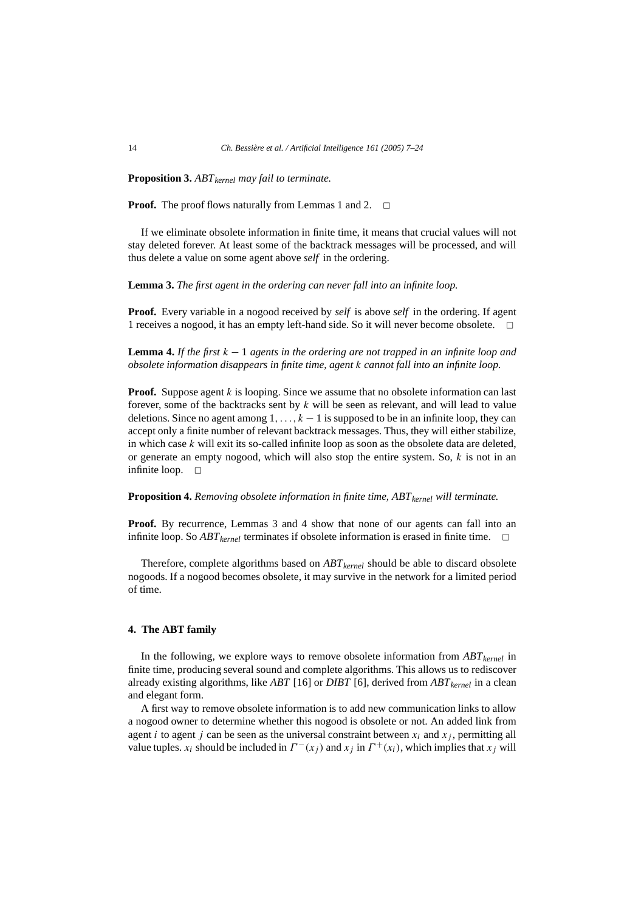#### **Proposition 3.** *ABT*<sub>kernel</sub> *may fail to terminate.*

**Proof.** The proof flows naturally from Lemmas 1 and 2.  $\Box$ 

If we eliminate obsolete information in finite time, it means that crucial values will not stay deleted forever. At least some of the backtrack messages will be processed, and will thus delete a value on some agent above *self* in the ordering.

**Lemma 3.** *The first agent in the ordering can never fall into an infinite loop.*

**Proof.** Every variable in a nogood received by *self* is above *self* in the ordering. If agent 1 receives a nogood, it has an empty left-hand side. So it will never become obsolete.  $\Box$ 

**Lemma 4.** *If the first k* − 1 *agents in the ordering are not trapped in an infinite loop and obsolete information disappears in finite time, agent k cannot fall into an infinite loop.*

**Proof.** Suppose agent *k* is looping. Since we assume that no obsolete information can last forever, some of the backtracks sent by *k* will be seen as relevant, and will lead to value deletions. Since no agent among  $1, \ldots, k-1$  is supposed to be in an infinite loop, they can accept only a finite number of relevant backtrack messages. Thus, they will either stabilize, in which case  $k$  will exit its so-called infinite loop as soon as the obsolete data are deleted, or generate an empty nogood, which will also stop the entire system. So, *k* is not in an infinite loop.  $\square$ 

**Proposition 4.** *Removing obsolete information in finite time, ABT<sub>kernel</sub> will terminate.* 

**Proof.** By recurrence, Lemmas 3 and 4 show that none of our agents can fall into an infinite loop. So  $ABT_{kernel}$  terminates if obsolete information is erased in finite time.  $\Box$ 

Therefore, complete algorithms based on  $ABT_{\text{kernel}}$  should be able to discard obsolete nogoods. If a nogood becomes obsolete, it may survive in the network for a limited period of time.

# **4. The ABT family**

In the following, we explore ways to remove obsolete information from  $ABT_{\text{kernel}}$  in finite time, producing several sound and complete algorithms. This allows us to rediscover already existing algorithms, like *ABT* [16] or *DIBT* [6], derived from *ABT*<sub>kernel</sub> in a clean and elegant form.

A first way to remove obsolete information is to add new communication links to allow a nogood owner to determine whether this nogood is obsolete or not. An added link from agent *i* to agent *j* can be seen as the universal constraint between  $x_i$  and  $x_j$ , permitting all value tuples. *x<sub>i</sub>* should be included in  $\Gamma^{-}(x_i)$  and  $x_j$  in  $\Gamma^{+}(x_i)$ , which implies that  $x_j$  will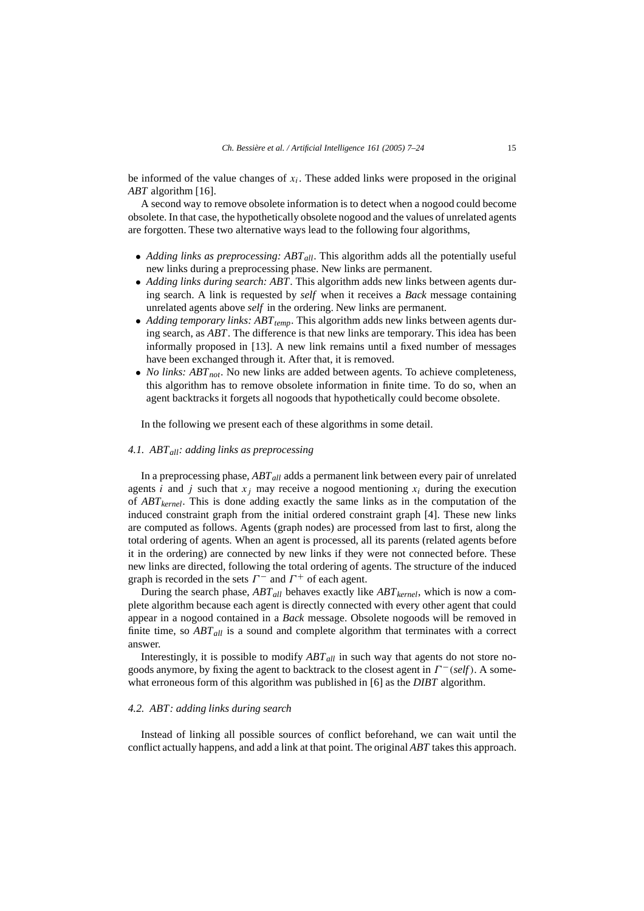be informed of the value changes of  $x_i$ . These added links were proposed in the original *ABT* algorithm [16].

A second way to remove obsolete information is to detect when a nogood could become obsolete. In that case, the hypothetically obsolete nogood and the values of unrelated agents are forgotten. These two alternative ways lead to the following four algorithms,

- *Adding links as preprocessing: ABT<sub>all</sub>*. This algorithm adds all the potentially useful new links during a preprocessing phase. New links are permanent.
- *Adding links during search: ABT*. This algorithm adds new links between agents during search. A link is requested by *self* when it receives a *Back* message containing unrelated agents above *self* in the ordering. New links are permanent.
- *Adding temporary links: ABT<sub>temp</sub>*. This algorithm adds new links between agents during search, as *ABT*. The difference is that new links are temporary. This idea has been informally proposed in [13]. A new link remains until a fixed number of messages have been exchanged through it. After that, it is removed.
- *No links: ABT<sub>not</sub>*. No new links are added between agents. To achieve completeness, this algorithm has to remove obsolete information in finite time. To do so, when an agent backtracks it forgets all nogoods that hypothetically could become obsolete.

In the following we present each of these algorithms in some detail.

## *4.1. ABTall: adding links as preprocessing*

In a preprocessing phase, *ABT<sub>all</sub>* adds a permanent link between every pair of unrelated agents *i* and *j* such that  $x_j$  may receive a nogood mentioning  $x_i$  during the execution of *ABTkernel*. This is done adding exactly the same links as in the computation of the induced constraint graph from the initial ordered constraint graph [4]. These new links are computed as follows. Agents (graph nodes) are processed from last to first, along the total ordering of agents. When an agent is processed, all its parents (related agents before it in the ordering) are connected by new links if they were not connected before. These new links are directed, following the total ordering of agents. The structure of the induced graph is recorded in the sets  $\Gamma^-$  and  $\Gamma^+$  of each agent.

During the search phase,  $ABT_{all}$  behaves exactly like  $ABT_{kernel}$ , which is now a complete algorithm because each agent is directly connected with every other agent that could appear in a nogood contained in a *Back* message. Obsolete nogoods will be removed in finite time, so  $ABT_{all}$  is a sound and complete algorithm that terminates with a correct answer.

Interestingly, it is possible to modify  $ABT_{all}$  in such way that agents do not store nogoods anymore, by fixing the agent to backtrack to the closest agent in  $\Gamma^{-}$ *(self)*. A somewhat erroneous form of this algorithm was published in [6] as the *DIBT* algorithm.

#### *4.2. ABT: adding links during search*

Instead of linking all possible sources of conflict beforehand, we can wait until the conflict actually happens, and add a link at that point. The original *ABT* takes this approach.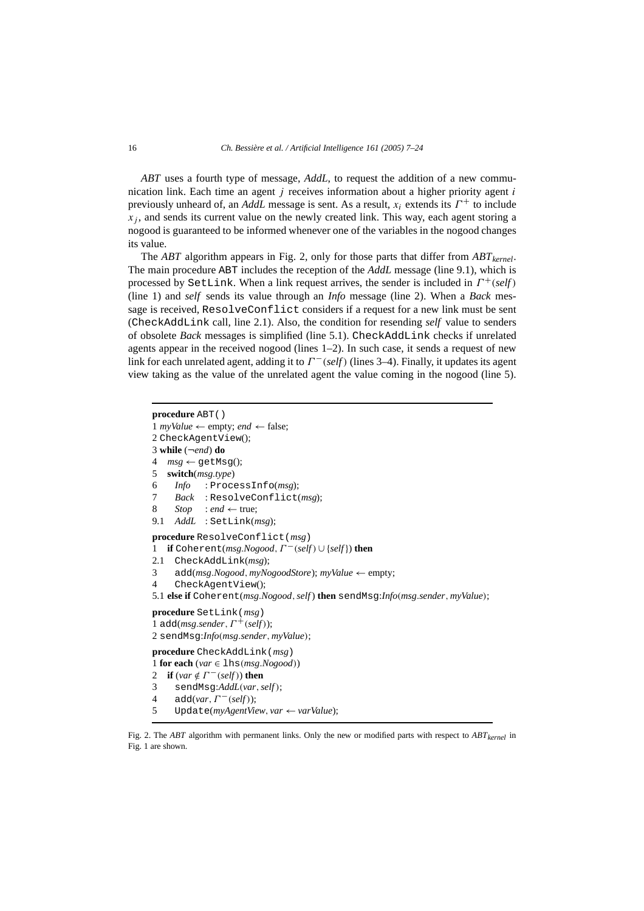*ABT* uses a fourth type of message, *AddL*, to request the addition of a new communication link. Each time an agent *j* receives information about a higher priority agent *i* previously unheard of, an *AddL* message is sent. As a result,  $x_i$  extends its  $\Gamma^+$  to include  $x_i$ , and sends its current value on the newly created link. This way, each agent storing a nogood is guaranteed to be informed whenever one of the variables in the nogood changes its value.

The *ABT* algorithm appears in Fig. 2, only for those parts that differ from  $ABT_{\text{kernel}}$ . The main procedure ABT includes the reception of the *AddL* message (line 9.1), which is processed by SetLink. When a link request arrives, the sender is included in  $\Gamma^+(self)$ (line 1) and *self* sends its value through an *Info* message (line 2). When a *Back* message is received, ResolveConflict considers if a request for a new link must be sent (CheckAddLink call, line 2.1). Also, the condition for resending *self* value to senders of obsolete *Back* messages is simplified (line 5.1). CheckAddLink checks if unrelated agents appear in the received nogood (lines 1–2). In such case, it sends a request of new link for each unrelated agent, adding it to *Γ* <sup>−</sup>*(self)* (lines 3–4). Finally, it updates its agent view taking as the value of the unrelated agent the value coming in the nogood (line 5).

```
procedure ABT()
1 myValue \leftarrow empty; end \leftarrow false;
2 CheckAgentView();
3 while (¬end) do
4 msg \leftarrow \text{getMsg}();
5 switch(msg.type)
6 Info : ProcessInfo(msg);
7 Back : ResolveConflict(msg);
8 Stop : end \leftarrow true;
9.1 AddL : SetLink(msg);
procedure ResolveConflict(msg)
1 if Coherent(msg.Nogood, Γ −(self) ∪ {self}) then
2.1 CheckAddLink(msg);
3 add(msg.Nogood,myNogoodStore); myValue ← empty;
4 CheckAgentView();
5.1 else if Coherent(msg.Nogood,self) then sendMsg:Info(msg.sender,myValue);
procedure SetLink(msg)
1 add(msg.sender, \Gamma^+(self);
2 sendMsg:Info(msg.sender,myValue);
procedure CheckAddLink(msg)
1 for each (var \in \text{Ins}(msg, Nogood))
2 if (var \notin \Gamma^{-}(self)) then
3 sendMsg:AddL(var,self);
4 add(var, Γ −(self));
```
<sup>5</sup> Update( $myAgentView$ ,  $var \leftarrow varValue$ );

Fig. 2. The *ABT* algorithm with permanent links. Only the new or modified parts with respect to *ABT<sub>kernel</sub>* in Fig. 1 are shown.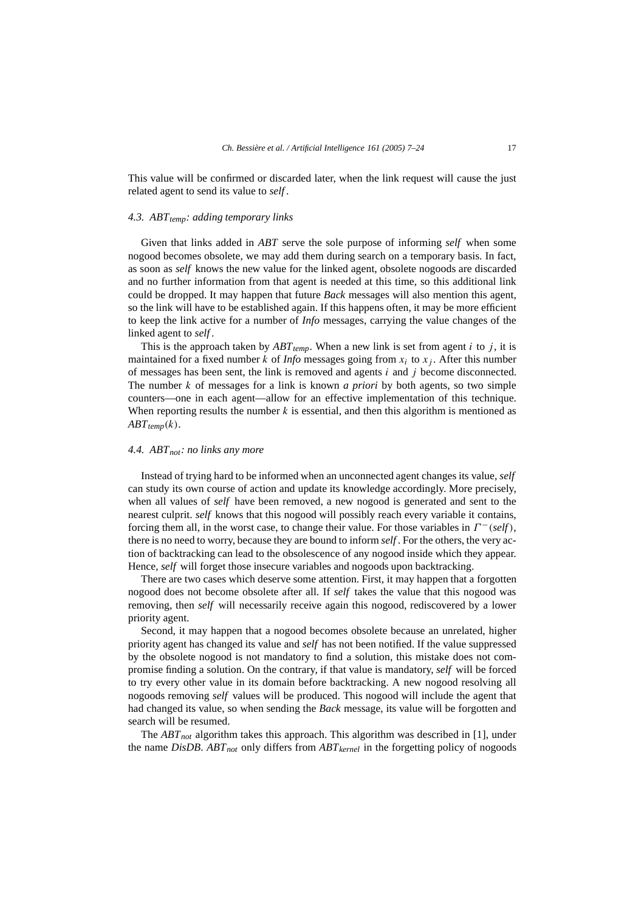This value will be confirmed or discarded later, when the link request will cause the just related agent to send its value to *self* .

#### 4.3. ABT<sub>temp</sub>: adding temporary links

Given that links added in *ABT* serve the sole purpose of informing *self* when some nogood becomes obsolete, we may add them during search on a temporary basis. In fact, as soon as *self* knows the new value for the linked agent, obsolete nogoods are discarded and no further information from that agent is needed at this time, so this additional link could be dropped. It may happen that future *Back* messages will also mention this agent, so the link will have to be established again. If this happens often, it may be more efficient to keep the link active for a number of *Info* messages, carrying the value changes of the linked agent to *self* .

This is the approach taken by  $ABT_{temp}$ . When a new link is set from agent *i* to *j*, it is maintained for a fixed number *k* of *Info* messages going from  $x_i$  to  $x_j$ . After this number of messages has been sent, the link is removed and agents *i* and *j* become disconnected. The number *k* of messages for a link is known *a priori* by both agents, so two simple counters—one in each agent—allow for an effective implementation of this technique. When reporting results the number  $k$  is essential, and then this algorithm is mentioned as  $ABT_{temp}(k)$ .

# *4.4. ABTnot: no links any more*

Instead of trying hard to be informed when an unconnected agent changes its value, *self* can study its own course of action and update its knowledge accordingly. More precisely, when all values of *self* have been removed, a new nogood is generated and sent to the nearest culprit. *self* knows that this nogood will possibly reach every variable it contains, forcing them all, in the worst case, to change their value. For those variables in  $\Gamma^{-}(self)$ , there is no need to worry, because they are bound to inform *self* . For the others, the very action of backtracking can lead to the obsolescence of any nogood inside which they appear. Hence, *self* will forget those insecure variables and nogoods upon backtracking.

There are two cases which deserve some attention. First, it may happen that a forgotten nogood does not become obsolete after all. If *self* takes the value that this nogood was removing, then *self* will necessarily receive again this nogood, rediscovered by a lower priority agent.

Second, it may happen that a nogood becomes obsolete because an unrelated, higher priority agent has changed its value and *self* has not been notified. If the value suppressed by the obsolete nogood is not mandatory to find a solution, this mistake does not compromise finding a solution. On the contrary, if that value is mandatory, *self* will be forced to try every other value in its domain before backtracking. A new nogood resolving all nogoods removing *self* values will be produced. This nogood will include the agent that had changed its value, so when sending the *Back* message, its value will be forgotten and search will be resumed.

The  $ABT_{not}$  algorithm takes this approach. This algorithm was described in [1], under the name *DisDB*. *ABT<sub>not</sub>* only differs from *ABT<sub>kernel</sub>* in the forgetting policy of nogoods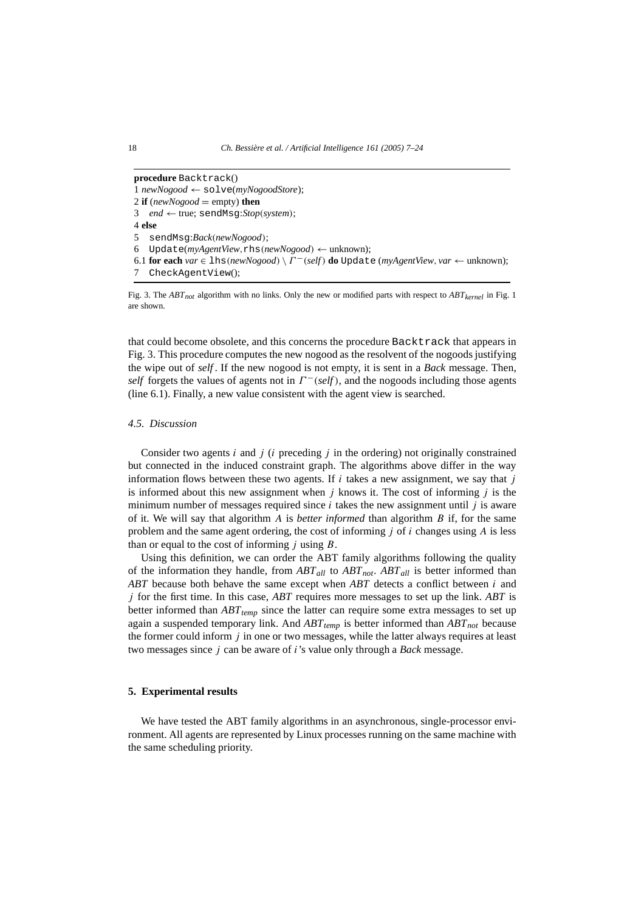**procedure** Backtrack() *newNogood* ← solve(*myNogoodStore*); **if** ( $newNogood = \text{empty}$ ) **then**  *end* ← true; sendMsg:*Stop(system)*; 4 **else** sendMsg:*Back(newNogood)*; Update(*myAgentView,*rhs*(newNogood)* ← unknown); 6.1 **for each**  $var \in \text{Ins}(newNogood) \setminus \Gamma^-(self)$  **do** Update (*myAgentView, var*  $\leftarrow$  unknown); CheckAgentView();

```
Fig. 3. The ABT<sub>not</sub> algorithm with no links. Only the new or modified parts with respect to ABT<sub>kernel</sub> in Fig. 1
are shown.
```
that could become obsolete, and this concerns the procedure Backtrack that appears in Fig. 3. This procedure computes the new nogood as the resolvent of the nogoods justifying the wipe out of *self* . If the new nogood is not empty, it is sent in a *Back* message. Then, *self* forgets the values of agents not in  $\Gamma^{-}$  (*self*), and the nogoods including those agents (line 6.1). Finally, a new value consistent with the agent view is searched.

## *4.5. Discussion*

Consider two agents *i* and *j* (*i* preceding *j* in the ordering) not originally constrained but connected in the induced constraint graph. The algorithms above differ in the way information flows between these two agents. If *i* takes a new assignment, we say that *j* is informed about this new assignment when  $j$  knows it. The cost of informing  $j$  is the minimum number of messages required since  $i$  takes the new assignment until  $j$  is aware of it. We will say that algorithm *A* is *better informed* than algorithm *B* if, for the same problem and the same agent ordering, the cost of informing *j* of *i* changes using *A* is less than or equal to the cost of informing *j* using *B*.

Using this definition, we can order the ABT family algorithms following the quality of the information they handle, from  $ABT_{all}$  to  $ABT_{not}$ .  $ABT_{all}$  is better informed than *ABT* because both behave the same except when *ABT* detects a conflict between *i* and *j* for the first time. In this case, *ABT* requires more messages to set up the link. *ABT* is better informed than  $ABT_{temp}$  since the latter can require some extra messages to set up again a suspended temporary link. And  $ABT_{temp}$  is better informed than  $ABT_{not}$  because the former could inform *j* in one or two messages, while the latter always requires at least two messages since *j* can be aware of *i*'s value only through a *Back* message.

## **5. Experimental results**

We have tested the ABT family algorithms in an asynchronous, single-processor environment. All agents are represented by Linux processes running on the same machine with the same scheduling priority.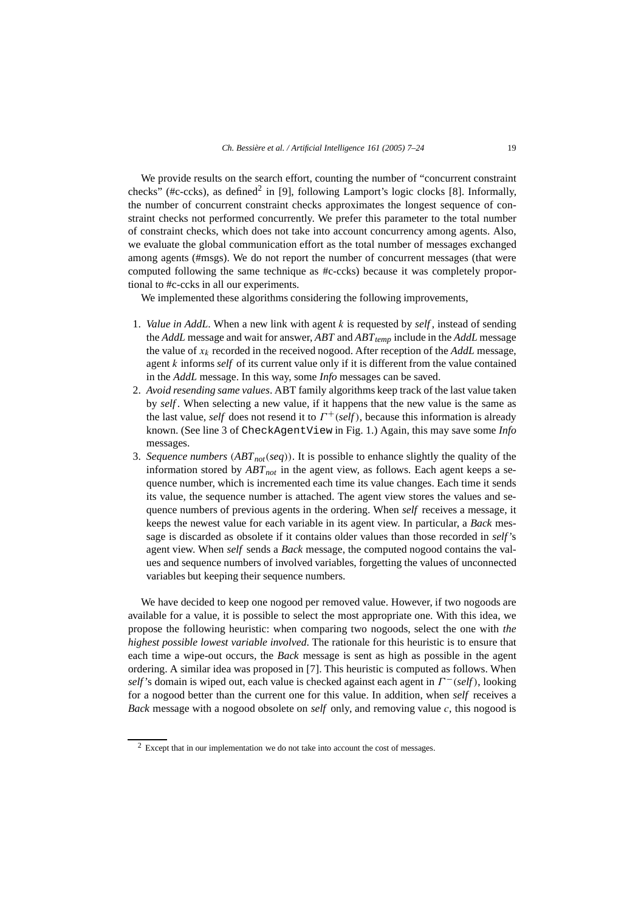We provide results on the search effort, counting the number of "concurrent constraint checks" (#c-ccks), as defined<sup>2</sup> in [9], following Lamport's logic clocks [8]. Informally, the number of concurrent constraint checks approximates the longest sequence of constraint checks not performed concurrently. We prefer this parameter to the total number of constraint checks, which does not take into account concurrency among agents. Also, we evaluate the global communication effort as the total number of messages exchanged among agents (#msgs). We do not report the number of concurrent messages (that were computed following the same technique as #c-ccks) because it was completely proportional to #c-ccks in all our experiments.

We implemented these algorithms considering the following improvements,

- 1. *Value in AddL*. When a new link with agent *k* is requested by *self* , instead of sending the *AddL* message and wait for answer, *ABT* and *ABT*<sub>temp</sub> include in the *AddL* message the value of *xk* recorded in the received nogood. After reception of the *AddL* message, agent *k* informs *self* of its current value only if it is different from the value contained in the *AddL* message. In this way, some *Info* messages can be saved.
- 2. *Avoid resending same values*. ABT family algorithms keep track of the last value taken by *self* . When selecting a new value, if it happens that the new value is the same as the last value, *self* does not resend it to  $\Gamma^+(self)$ , because this information is already known. (See line 3 of CheckAgentView in Fig. 1.) Again, this may save some *Info* messages.
- 3. *Sequence numbers (ABTnot(seq))*. It is possible to enhance slightly the quality of the information stored by  $ABT_{not}$  in the agent view, as follows. Each agent keeps a sequence number, which is incremented each time its value changes. Each time it sends its value, the sequence number is attached. The agent view stores the values and sequence numbers of previous agents in the ordering. When *self* receives a message, it keeps the newest value for each variable in its agent view. In particular, a *Back* message is discarded as obsolete if it contains older values than those recorded in *self*'s agent view. When *self* sends a *Back* message, the computed nogood contains the values and sequence numbers of involved variables, forgetting the values of unconnected variables but keeping their sequence numbers.

We have decided to keep one nogood per removed value. However, if two nogoods are available for a value, it is possible to select the most appropriate one. With this idea, we propose the following heuristic: when comparing two nogoods, select the one with *the highest possible lowest variable involved*. The rationale for this heuristic is to ensure that each time a wipe-out occurs, the *Back* message is sent as high as possible in the agent ordering. A similar idea was proposed in [7]. This heuristic is computed as follows. When *self*'s domain is wiped out, each value is checked against each agent in  $\Gamma^{-}$ (*self*), looking for a nogood better than the current one for this value. In addition, when *self* receives a *Back* message with a nogood obsolete on *self* only, and removing value *c*, this nogood is

<sup>2</sup> Except that in our implementation we do not take into account the cost of messages.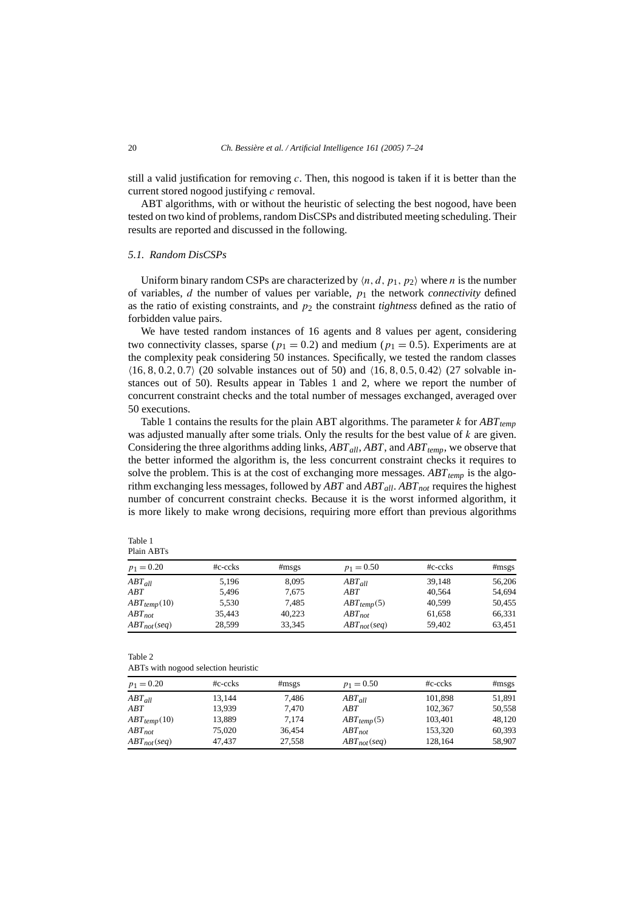still a valid justification for removing *c*. Then, this nogood is taken if it is better than the current stored nogood justifying *c* removal.

ABT algorithms, with or without the heuristic of selecting the best nogood, have been tested on two kind of problems, random DisCSPs and distributed meeting scheduling. Their results are reported and discussed in the following.

#### *5.1. Random DisCSPs*

Uniform binary random CSPs are characterized by  $\langle n, d, p_1, p_2 \rangle$  where *n* is the number of variables,  $d$  the number of values per variable,  $p_1$  the network *connectivity* defined as the ratio of existing constraints, and *p*<sup>2</sup> the constraint *tightness* defined as the ratio of forbidden value pairs.

We have tested random instances of 16 agents and 8 values per agent, considering two connectivity classes, sparse ( $p_1 = 0.2$ ) and medium ( $p_1 = 0.5$ ). Experiments are at the complexity peak considering 50 instances. Specifically, we tested the random classes 16*,* 8*,* 0*.*2*,* 0*.*7 (20 solvable instances out of 50) and 16*,* 8*,* 0*.*5*,* 0*.*42 (27 solvable instances out of 50). Results appear in Tables 1 and 2, where we report the number of concurrent constraint checks and the total number of messages exchanged, averaged over 50 executions.

Table 1 contains the results for the plain ABT algorithms. The parameter  $k$  for  $ABT_{temp}$ was adjusted manually after some trials. Only the results for the best value of *k* are given. Considering the three algorithms adding links,  $ABT_{all}$ ,  $ABT$ , and  $ABT_{temp}$ , we observe that the better informed the algorithm is, the less concurrent constraint checks it requires to solve the problem. This is at the cost of exchanging more messages.  $ABT_{temp}$  is the algorithm exchanging less messages, followed by *ABT* and *ABT<sub>all</sub>*. *ABT<sub>not</sub>* requires the highest number of concurrent constraint checks. Because it is the worst informed algorithm, it is more likely to make wrong decisions, requiring more effort than previous algorithms

| Table 1 |            |
|---------|------------|
|         | Plain ABTs |

| $p_1 = 0.20$     | $\#c$ -ccks | $\#$ msgs | $p_1 = 0.50$     | $\#c$ -ccks | $\#$ msgs |
|------------------|-------------|-----------|------------------|-------------|-----------|
| $ABT_{all}$      | 5,196       | 8.095     | $ABT_{all}$      | 39.148      | 56,206    |
| ABT              | 5.496       | 7,675     | ABT              | 40.564      | 54.694    |
| $ABT_{temp}(10)$ | 5.530       | 7,485     | $ABT_{temp}(5)$  | 40.599      | 50.455    |
| $ABT_{not}$      | 35.443      | 40,223    | $ABT_{not}$      | 61,658      | 66,331    |
| $ABT_{not}(seq)$ | 28,599      | 33,345    | $ABT_{not}(seq)$ | 59.402      | 63,451    |

| Table 2                              |  |
|--------------------------------------|--|
| ABTs with nogood selection heuristic |  |

| $p_1 = 0.20$     | $\#c$ -ccks | $\#$ msgs | $p_1 = 0.50$     | $\#c$ -ccks | $\#$ msgs |
|------------------|-------------|-----------|------------------|-------------|-----------|
| $ABT_{all}$      | 13.144      | 7.486     | $ABT_{all}$      | 101,898     | 51,891    |
| ABT              | 13,939      | 7.470     | ABT              | 102,367     | 50,558    |
| $ABT_{temp}(10)$ | 13,889      | 7.174     | $ABT_{temp}(5)$  | 103.401     | 48.120    |
| $ABT_{not}$      | 75.020      | 36.454    | $ABT_{not}$      | 153,320     | 60,393    |
| $ABT_{not}(seq)$ | 47.437      | 27.558    | $ABT_{not}(seq)$ | 128,164     | 58,907    |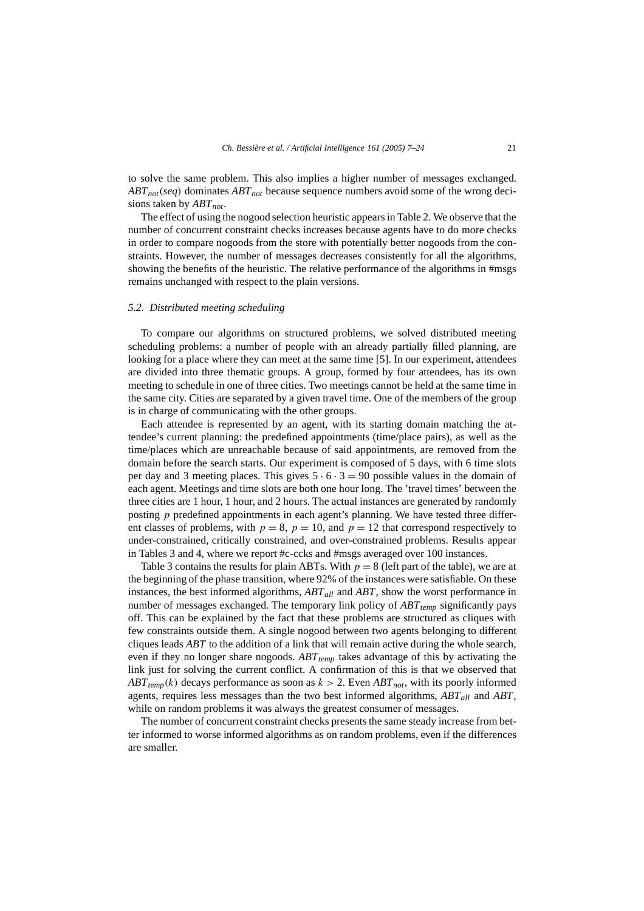to solve the same problem. This also implies a higher number of messages exchanged.  $ABT_{not}$ *(seq)* dominates  $ABT_{not}$  because sequence numbers avoid some of the wrong decisions taken by  $ABT<sub>not</sub>$ .

The effect of using the nogood selection heuristic appears in Table 2. We observe that the number of concurrent constraint checks increases because agents have to do more checks in order to compare nogoods from the store with potentially better nogoods from the constraints. However, the number of messages decreases consistently for all the algorithms, showing the benefits of the heuristic. The relative performance of the algorithms in #msgs remains unchanged with respect to the plain versions.

## *5.2. Distributed meeting scheduling*

To compare our algorithms on structured problems, we solved distributed meeting scheduling problems: a number of people with an already partially filled planning, are looking for a place where they can meet at the same time [5]. In our experiment, attendees are divided into three thematic groups. A group, formed by four attendees, has its own meeting to schedule in one of three cities. Two meetings cannot be held at the same time in the same city. Cities are separated by a given travel time. One of the members of the group is in charge of communicating with the other groups.

Each attendee is represented by an agent, with its starting domain matching the attendee's current planning: the predefined appointments (time/place pairs), as well as the time/places which are unreachable because of said appointments, are removed from the domain before the search starts. Our experiment is composed of 5 days, with 6 time slots per day and 3 meeting places. This gives  $5 \cdot 6 \cdot 3 = 90$  possible values in the domain of each agent. Meetings and time slots are both one hour long. The 'travel times' between the three cities are 1 hour, 1 hour, and 2 hours. The actual instances are generated by randomly posting *p* predefined appointments in each agent's planning. We have tested three different classes of problems, with  $p = 8$ ,  $p = 10$ , and  $p = 12$  that correspond respectively to under-constrained, critically constrained, and over-constrained problems. Results appear in Tables 3 and 4, where we report #c-ccks and #msgs averaged over 100 instances.

Table 3 contains the results for plain ABTs. With  $p = 8$  (left part of the table), we are at the beginning of the phase transition, where 92% of the instances were satisfiable. On these instances, the best informed algorithms, *ABTall* and *ABT*, show the worst performance in number of messages exchanged. The temporary link policy of  $ABT_{temp}$  significantly pays off. This can be explained by the fact that these problems are structured as cliques with few constraints outside them. A single nogood between two agents belonging to different cliques leads *ABT* to the addition of a link that will remain active during the whole search, even if they no longer share nogoods. *ABT<sub>temp</sub>* takes advantage of this by activating the link just for solving the current conflict. A confirmation of this is that we observed that  $ABT_{temp}(k)$  decays performance as soon as  $k > 2$ . Even  $ABT_{not}$ , with its poorly informed agents, requires less messages than the two best informed algorithms,  $ABT_{all}$  and  $ABT$ , while on random problems it was always the greatest consumer of messages.

The number of concurrent constraint checks presents the same steady increase from better informed to worse informed algorithms as on random problems, even if the differences are smaller.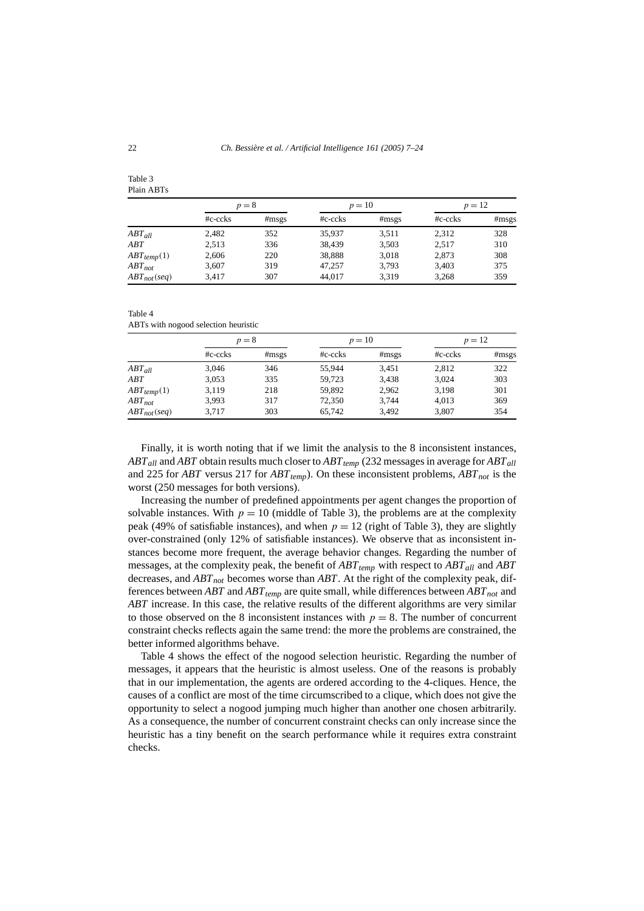|                  | $p=8$       |           | $p=10$      |           | $p = 12$    |           |
|------------------|-------------|-----------|-------------|-----------|-------------|-----------|
|                  | $\#c$ -ccks | $\#$ msgs | $\#c$ -ccks | $\#$ msgs | $\#c$ -ccks | $\#$ msgs |
| $ABT_{all}$      | 2.482       | 352       | 35.937      | 3,511     | 2,312       | 328       |
| ABT              | 2.513       | 336       | 38.439      | 3,503     | 2.517       | 310       |
| $ABT_{temp}(1)$  | 2,606       | 220       | 38,888      | 3,018     | 2,873       | 308       |
| $ABT_{not}$      | 3,607       | 319       | 47.257      | 3,793     | 3,403       | 375       |
| $ABT_{not}(seq)$ | 3.417       | 307       | 44.017      | 3,319     | 3,268       | 359       |

| Table 4                              |  |
|--------------------------------------|--|
| ABTs with nogood selection heuristic |  |

|                  | $p = 8$          |           | $p=10$      |           | $p = 12$    |           |
|------------------|------------------|-----------|-------------|-----------|-------------|-----------|
|                  | $\#c$ -cc $\&$ s | $\#$ msgs | $\#c$ -ccks | $\#$ msgs | $\#c$ -ccks | $\#$ msgs |
| $ABT_{all}$      | 3.046            | 346       | 55,944      | 3.451     | 2,812       | 322       |
| ABT              | 3.053            | 335       | 59.723      | 3.438     | 3.024       | 303       |
| $ABT_{temp}(1)$  | 3.119            | 218       | 59.892      | 2,962     | 3,198       | 301       |
| $ABT_{not}$      | 3,993            | 317       | 72,350      | 3.744     | 4,013       | 369       |
| $ABT_{not}(seq)$ | 3,717            | 303       | 65,742      | 3,492     | 3,807       | 354       |

Finally, it is worth noting that if we limit the analysis to the 8 inconsistent instances, *ABT<sub>all</sub>* and *ABT* obtain results much closer to *ABT<sub>temp</sub>* (232 messages in average for *ABT<sub>all</sub>* and 225 for *ABT* versus 217 for  $ABT_{temp}$ ). On these inconsistent problems,  $ABT_{not}$  is the worst (250 messages for both versions).

Increasing the number of predefined appointments per agent changes the proportion of solvable instances. With  $p = 10$  (middle of Table 3), the problems are at the complexity peak (49% of satisfiable instances), and when  $p = 12$  (right of Table 3), they are slightly over-constrained (only 12% of satisfiable instances). We observe that as inconsistent instances become more frequent, the average behavior changes. Regarding the number of messages, at the complexity peak, the benefit of *ABT<sub>temp</sub>* with respect to *ABT<sub>all</sub>* and *ABT* decreases, and  $ABT_{not}$  becomes worse than  $ABT$ . At the right of the complexity peak, differences between  $ABT$  and  $ABT_{temp}$  are quite small, while differences between  $ABT_{not}$  and *ABT* increase. In this case, the relative results of the different algorithms are very similar to those observed on the 8 inconsistent instances with  $p = 8$ . The number of concurrent constraint checks reflects again the same trend: the more the problems are constrained, the better informed algorithms behave.

Table 4 shows the effect of the nogood selection heuristic. Regarding the number of messages, it appears that the heuristic is almost useless. One of the reasons is probably that in our implementation, the agents are ordered according to the 4-cliques. Hence, the causes of a conflict are most of the time circumscribed to a clique, which does not give the opportunity to select a nogood jumping much higher than another one chosen arbitrarily. As a consequence, the number of concurrent constraint checks can only increase since the heuristic has a tiny benefit on the search performance while it requires extra constraint checks.

Table 3 Plain ABTs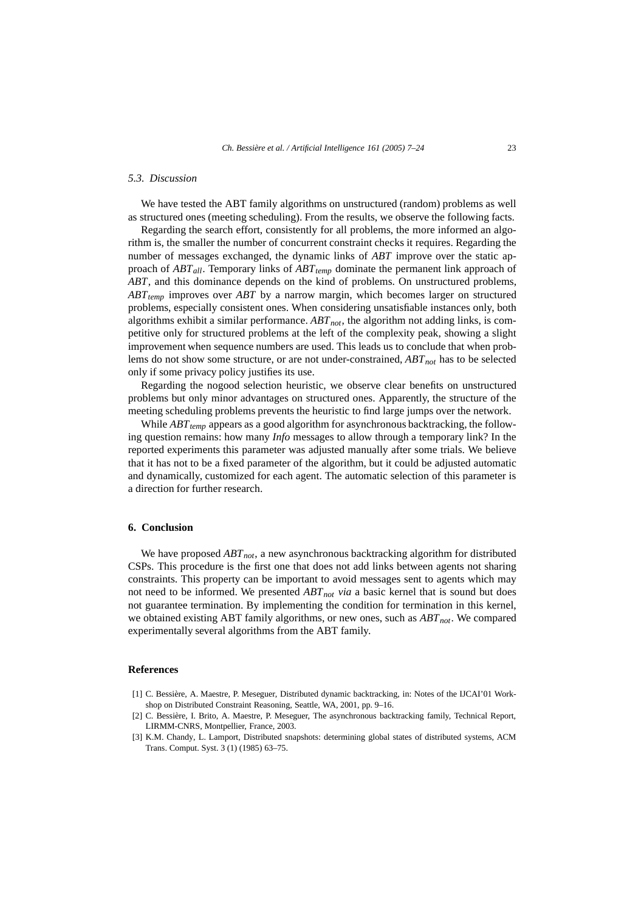#### *5.3. Discussion*

We have tested the ABT family algorithms on unstructured (random) problems as well as structured ones (meeting scheduling). From the results, we observe the following facts.

Regarding the search effort, consistently for all problems, the more informed an algorithm is, the smaller the number of concurrent constraint checks it requires. Regarding the number of messages exchanged, the dynamic links of *ABT* improve over the static approach of *ABT<sub>all</sub>*. Temporary links of *ABT<sub>temp</sub>* dominate the permanent link approach of *ABT*, and this dominance depends on the kind of problems. On unstructured problems, *ABTtemp* improves over *ABT* by a narrow margin, which becomes larger on structured problems, especially consistent ones. When considering unsatisfiable instances only, both algorithms exhibit a similar performance.  $ABT_{not}$ , the algorithm not adding links, is competitive only for structured problems at the left of the complexity peak, showing a slight improvement when sequence numbers are used. This leads us to conclude that when problems do not show some structure, or are not under-constrained, *ABTnot* has to be selected only if some privacy policy justifies its use.

Regarding the nogood selection heuristic, we observe clear benefits on unstructured problems but only minor advantages on structured ones. Apparently, the structure of the meeting scheduling problems prevents the heuristic to find large jumps over the network.

While *ABT<sub>temp</sub>* appears as a good algorithm for asynchronous backtracking, the following question remains: how many *Info* messages to allow through a temporary link? In the reported experiments this parameter was adjusted manually after some trials. We believe that it has not to be a fixed parameter of the algorithm, but it could be adjusted automatic and dynamically, customized for each agent. The automatic selection of this parameter is a direction for further research.

# **6. Conclusion**

We have proposed  $ABT_{not}$ , a new asynchronous backtracking algorithm for distributed CSPs. This procedure is the first one that does not add links between agents not sharing constraints. This property can be important to avoid messages sent to agents which may not need to be informed. We presented  $ABT_{not}$  *via* a basic kernel that is sound but does not guarantee termination. By implementing the condition for termination in this kernel, we obtained existing ABT family algorithms, or new ones, such as  $ABT_{\text{not}}$ . We compared experimentally several algorithms from the ABT family.

#### **References**

- [1] C. Bessière, A. Maestre, P. Meseguer, Distributed dynamic backtracking, in: Notes of the IJCAI'01 Workshop on Distributed Constraint Reasoning, Seattle, WA, 2001, pp. 9–16.
- [2] C. Bessière, I. Brito, A. Maestre, P. Meseguer, The asynchronous backtracking family, Technical Report, LIRMM-CNRS, Montpellier, France, 2003.
- [3] K.M. Chandy, L. Lamport, Distributed snapshots: determining global states of distributed systems, ACM Trans. Comput. Syst. 3 (1) (1985) 63–75.